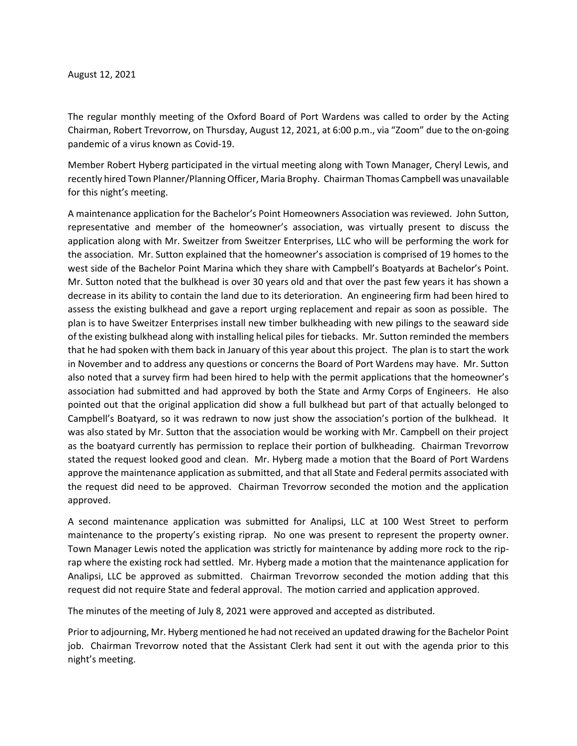## August 12, 2021

The regular monthly meeting of the Oxford Board of Port Wardens was called to order by the Acting Chairman, Robert Trevorrow, on Thursday, August 12, 2021, at 6:00 p.m., via "Zoom" due to the on-going pandemic of a virus known as Covid-19.

Member Robert Hyberg participated in the virtual meeting along with Town Manager, Cheryl Lewis, and recently hired Town Planner/Planning Officer, Maria Brophy. Chairman Thomas Campbell was unavailable for this night's meeting.

A maintenance application for the Bachelor's Point Homeowners Association was reviewed. John Sutton, representative and member of the homeowner's association, was virtually present to discuss the application along with Mr. Sweitzer from Sweitzer Enterprises, LLC who will be performing the work for the association. Mr. Sutton explained that the homeowner's association is comprised of 19 homes to the west side of the Bachelor Point Marina which they share with Campbell's Boatyards at Bachelor's Point. Mr. Sutton noted that the bulkhead is over 30 years old and that over the past few years it has shown a decrease in its ability to contain the land due to its deterioration. An engineering firm had been hired to assess the existing bulkhead and gave a report urging replacement and repair as soon as possible. The plan is to have Sweitzer Enterprises install new timber bulkheading with new pilings to the seaward side of the existing bulkhead along with installing helical piles for tiebacks. Mr. Sutton reminded the members that he had spoken with them back in January of this year about this project. The plan is to start the work in November and to address any questions or concerns the Board of Port Wardens may have. Mr. Sutton also noted that a survey firm had been hired to help with the permit applications that the homeowner's association had submitted and had approved by both the State and Army Corps of Engineers. He also pointed out that the original application did show a full bulkhead but part of that actually belonged to Campbell's Boatyard, so it was redrawn to now just show the association's portion of the bulkhead. It was also stated by Mr. Sutton that the association would be working with Mr. Campbell on their project as the boatyard currently has permission to replace their portion of bulkheading. Chairman Trevorrow stated the request looked good and clean. Mr. Hyberg made a motion that the Board of Port Wardens approve the maintenance application as submitted, and that all State and Federal permits associated with the request did need to be approved. Chairman Trevorrow seconded the motion and the application approved.

A second maintenance application was submitted for Analipsi, LLC at 100 West Street to perform maintenance to the property's existing riprap. No one was present to represent the property owner. Town Manager Lewis noted the application was strictly for maintenance by adding more rock to the riprap where the existing rock had settled. Mr. Hyberg made a motion that the maintenance application for Analipsi, LLC be approved as submitted. Chairman Trevorrow seconded the motion adding that this request did not require State and federal approval. The motion carried and application approved.

The minutes of the meeting of July 8, 2021 were approved and accepted as distributed.

Prior to adjourning, Mr. Hyberg mentioned he had not received an updated drawing for the Bachelor Point job. Chairman Trevorrow noted that the Assistant Clerk had sent it out with the agenda prior to this night's meeting.